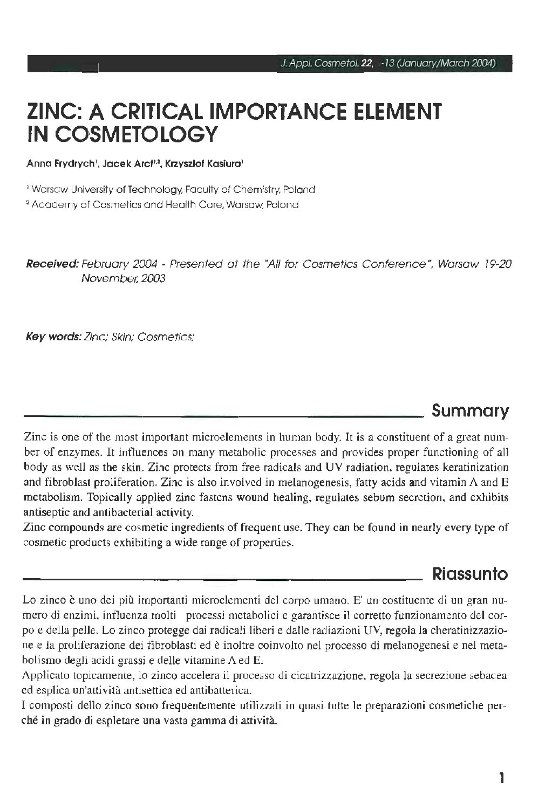# **ZINC: A CRITICAL IMPORTANCE ELEMENT IN COSMETOLOGY**

Anna Frydrych<sup>1</sup>, Jacek Arcf<sup>1,2</sup>, Krzysztof Kasiura<sup>1</sup>

' Warsaw University of Technology, Faculty of Chemistry, Poland

' Academy of Cosmetics and Health Care, Warsaw, Poland

Received: February 2004 - Presented at the "All for Cosmetics Conference", Warsaw 19-20 November, 2003

Key words: Zinc; Skin; Cosmetics;

### **Summary**

Zinc is one of the most important microelements in human body. It is a constituent of a great number of enzymes. It influences on many metabolic processes and provides proper functioning of ali body as well as the skin. Zinc protects from free radicals and UV radiation, regulates keratinization and fibroblast proliferation. Zinc is also involved in melanogenesis, fatty acids and vitamin A and E metabolism. Topically applied zinc fastens wound healing, regulates sebum secretion, and exhibits antiseptic and antibacterial activity.

Zinc compounds are cosmetic ingredients of frequent use. Tbey can be found in nearly every type of cosmetic products exhibiting a wide range of properties.

### **Riassunto**

Lo zinco è uno dei più importanti microelementi del corpo umano. E' un costituente di un gran numero di enzimi, influenza molti processi metabolici e garantisce il corretto funzionamento del corpo e della pelle. Lo zinco protegge dai radicali liberi e dalle radiazioni UV, regola la cheratinizzazione e la proliferazione dei fibroblasti ed è inoltre coinvolto nel processo di melanogenesi e nel metabolismo degli acidi grassi e delle vitamine A ed E.

Applicato topicamente, lo zinco accelera il processo di cicatrizzazione, regola la secrezione sebacea ed esplica un'attività antisettica ed antibatterica.

I composti dello zinco sono frequentemente utilizzati in quasi tutte le preparazioni cosmetiche perché in grado di espletare una vasta gamma di attività.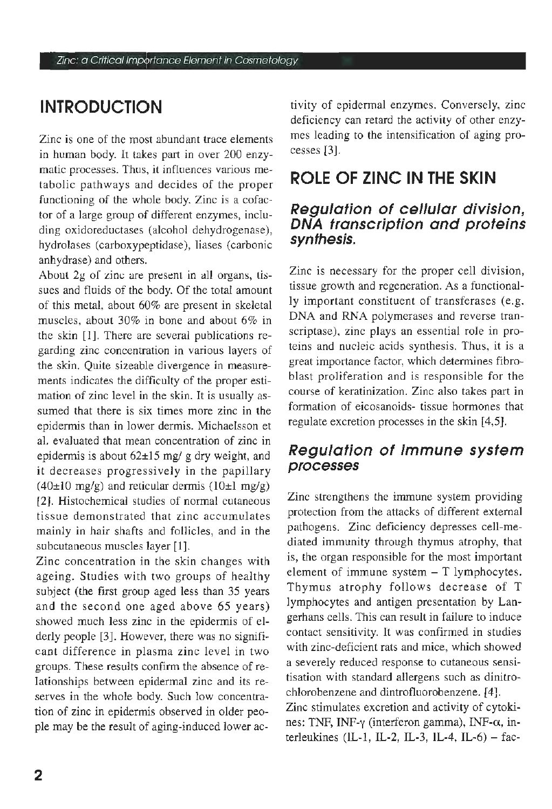## **INTRODUCTION**

Zinc is one of the most abundant trace elements in human body. It takes part in over 200 enzymatic processes. Thus, it influences various metabolic pathways and decides of the proper functioning of the whole body. Zinc is a cofactor of a large group of different enzymes, including oxidoreductases (alcohol dehydrogenase), hydrolases (carboxypeptidase), liases (carbonic anhydrase) and others.

About 2g of zinc are present in ali organs, tissues and fluids of the body. Of the total amount of this metal, about 60% are present in skeletal muscles, about 30% in bone and about 6% in the skin  $[1]$ . There are several publications regarding zinc concentration in various layers of the skin. Quite sizeable divergence in measurements indicates the difficulty of the proper estimation of zinc level in the skin. It is usually assumed that there is six times more zinc in the epidermis than in lower dermis. Michaelsson et al. evaluated that mean concentration of zinc in epidermis is about 62±15 mg/ g dry weight, and it decreases progressively in the papillary  $(40\pm10 \text{ mg/g})$  and reticular dermis  $(10\pm1 \text{ mg/g})$ [2]. Histochemical studies of normai cutaneous tissue demon strated that zinc accumulates mainly in hair shafts and follicles, and in the subcutaneous muscles layer [I].

Zinc concentration in the skin changes with ageing. Studies with two groups of healthy subject (the first group aged Iess than 35 years and the second one aged above 65 years) showed much less zinc in the epidermis of elderly people [3]. However, there was no significant difference in plasma zinc level in two groups. These results confirm the absence of relationships between epidermal zinc and its reserves in the whole body. Such low concentration of zinc in epidermis observed in older people may be the result of aging-induced Iower activity of epidermal enzymes. Conversely, zinc deficiency can retard the activity of other enzymes leading to the intensification of aging processes [3].

## **ROLE OF ZINC IN THE SKIN**

#### **Regulation of cel/ular division, DNA transcription and proteins synthesis.**

Zinc is necessary for the proper celi division, tissue growth and regeneration. As a functionally important constituent of transferases (e.g. DNA and RNA polymerases and reverse transcriptase), zinc plays an essential role in proteins and nucleic acids synthesis. Thus, it is a great importance factor, which determines fibroblast proliferation and is responsible for the course of keratinization. Zinc also takes part in formation of eicosanoids- tissue hormones that regulate excretion processes in the skin [4,5].

#### **Regulation of immune system processes**

Zinc strengthens the immune system providing protection from the attacks of different external pathogens. Zinc deficiency depresses cell-mediated immunity through thymus atrophy, that is, the organ responsible for the most important element of immune system - T lymphocytes. Thymus atrophy follows decrease of T lymphocytes and antigen presentation by Langerhans cells. This can result in failure to induce contact sensitivity. lt was confirmed in studies with zinc-deficient rats and mice, which showed a severely reduced response to cutaneous sensitisation with standard allergens such as dinitrochlorobenzene and dintrofluorobenzene. [4).

Zinc stimulates excretion and activity of cytokines: TNF, INF- $\gamma$  (interferon gamma), INF- $\alpha$ , interleukines (IL-1, IL-2, IL-3, IL-4, IL-6) - fac-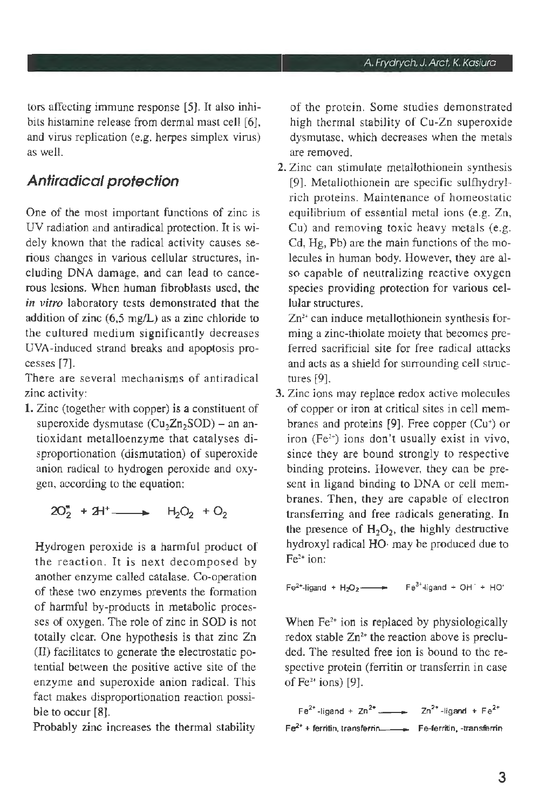tors affecting immune response [5]. It also inhibits histamine release from dermal mast celi [6], and virus replication (e.g. herpes simplex virus) as well.

### **Antiradical protection**

One of the most important functions of zinc is UV radiation and antiradical protection. It is widely known that the radical activity causes serious changes in various cellular structures, including DNA damage, and can lead to cancerous lesions. When hurnan fibroblasts used, the *in vitro* laboratory tests demonstrated that the addition of zinc (6,5 mg/L) as a zinc chloride to the cultured medium significantly decreases UVA-induced strand breaks and apoptosis processes [7].

There are several mechanisms of antiradical zinc activity:

1. Zinc (together with copper) is a constituent of superoxide dysmutase  $(Cu_2Zn_2SOD)$  - an antioxidant metalloenzyme that catalyses disproportionation (dismutation) of superoxide anion radical to hydrogen peroxide and oxygen, according to the equation:

 $2O_2^*$  +  $2H^*$  . H<sub>2</sub>O<sub>2</sub> + O<sub>2</sub>

Hydrogen peroxide is a harmful product of the reaction. It is next decomposed by another enzyme called catalase. Co-operation of these two enzymes prevents the formation of harmful by-products in metabolic processes of oxygen. The role of zinc in SOD is not totally clear. One hypothesis is that zinc Zn (Il) facilitates to generate the electrostatic potential between the positive active site of the enzyme and superoxide anion radical. This fact makes disproportionation reaction possible to occur [8].

Probably zinc increases the thermal stability

of the protein. Some studies demonstrated high thermal stability of Cu-Zn superoxide dysmutase, which decreases when the metals are removed.

2. Zinc can stimulate metallothionein synthesis [9). Metallothionein are specific sulfhydrylrich proteins. Maintenance of homeostatic equilibrium of essential metal ions (e.g. Zn, Cu) and removing toxic heavy metals (e.g. Cd, Hg, Pb) are the main functions of the molecules in human body. However, they are also capable of neutralizing reactive oxygen species providing protection for various cellular structures.

Zn<sup>2+</sup> can induce metallothionein synthesis forming a zinc-thiolate moiety that becomes preferred sacrificial site for free radical attacks and acts as a shield for surrounding cell structures [9].

3. Zinc ions may replace redox active molecules of copper or iron at criticai sites in celi membranes and proteins  $[9]$ . Free copper (Cu<sup>+</sup>) or iron (Fe2 +) ions don't usually exist in vivo, since they are bound strongly to respective binding proteins. However, they can be present in ligand binding to DNA or celi membranes. Then, they are capable of electron transferring and free radicals generating. In the presence of  $H_2O_2$ , the highly destructive hydroxyl radical HO· may be produced due to Fe<sup>2+</sup> ion:

 $Fe^{2+}$ -ligand + H<sub>2</sub>O<sub>2</sub>  $\longrightarrow$  Fe<sup>3+</sup>-ligand + OH + HO

When Fe<sup>2+</sup> ion is replaced by physiologically redox stable  $Zn^{2+}$  the reaction above is precluded. The resulted free ion is bound to the respective protein (ferritin or transferrin in case of  $Fe<sup>2+</sup>$  ions) [9].

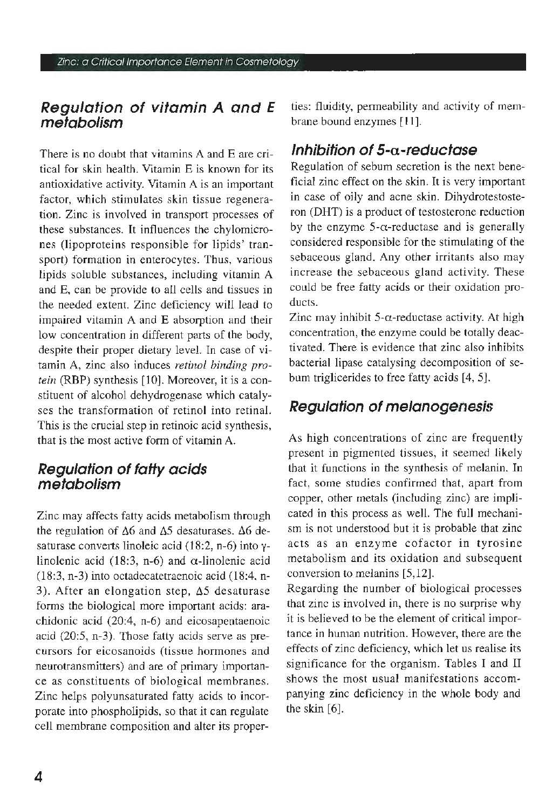#### **Regulation ot vitamin A and E mefabolism**

There is no doubt that vitamins A and E are criticai for skin health. Vitamin E is known for its antioxidative activity. Vitamin A is an important factor, which stimulates skin tissue regeneration. Zinc is involved in transport processes of these substances. lt influences the chylomicrones (lipoproteins responsible for lipids' transport) formation in enterocytes. Thus, various lipids soluble substances, including vitamin A and E, can be provide to ali cells and tissues in the needed extent. Zinc deficiency will lead to impaired vitamin A and E absorption and their low concentration in different parts of the body, despite their proper dietary leve!. In case of vitamin A, zinc also induces *retinol binding protein* (RBP) synthesis [10]. Moreover, it is a constituent of alcohol dehydrogenase which catalyses the transformation of retinol into retinal. This is the crucial step in retinoic acid synthesis, that is the most active form of vitamin A.

#### **Regulafion ot taffy acids metabolism**

Zinc may affects fatty acids metabolism through the regulation of  $\Delta 6$  and  $\Delta 5$  desaturases.  $\Delta 6$  desaturase converts linoleic acid (18:2, n-6) into ylinolenic acid (18:3, n-6) and  $\alpha$ -linolenic acid (18:3, n-3) into octadecatetraenoic acid (18:4, n-3). After an elongation step,  $\Delta$ 5 desaturase forms the biologica! more important acids: arachidonic acid (20:4, n-6) and eicosapentaenoic acid (20:5, n-3). Those fatty acids serve as precursors for eicosanoids (tissue hormones and neurotransmitters) and are of primary importance as constituents of biological membranes. Zinc helps polyunsaturated fatty acids to incorporate into phospholipids, so that it can regulate cell membrane composition and alter its properties: fluidity, permeability and activity of membrane bound enzymes [ 11].

### **lnhibition ot 5-a-reducfase**

Regulation of sebum secretion is the next beneficiai zinc effect on the skin. It is very important in case of oily and acne skin. Dihydrotestosteron (DHT) is a product of testosterone reduction by the enzyme  $5-\alpha$ -reductase and is generally considered responsible for the stimulating of the sebaceous gland. Any other irritants also may increase the sebaceous gland activity. These could be free fatty acids or their oxidation products.

Zinc may inhibit  $5-\alpha$ -reductase activity. At high concentration, the enzyme could be totally deactivated. There is evidence that zinc also inhibits bacterial lipase catalysing decomposition of sebum triglicerides to free fatty acids [4, 5).

### **Regulafion of melanogenesis**

As high concentrations of zinc are frequently present in pigmented tissues, it seemed likely that it functions in the synthesis of melanin. In fact, some studies confirmed that, apart from copper, other metals (including zinc) are implicated in this process as well. The full mechanism is not understood but it is probable that zinc acts as an enzyme cofactor in tyrosine metabolism and its oxidation and subsequent conversion to melanins [5, 12).

Regarding the number of biological processes that zinc is involved in, there is no surprise why it is believed to be the element of criticai importance in human nutrition. However, there are the effects of zinc deficiency, which Jet us realise its significance for the organism. Tables I and II shows the most usual manifestations accompanying zinc deficiency in the whole body and the skin [6].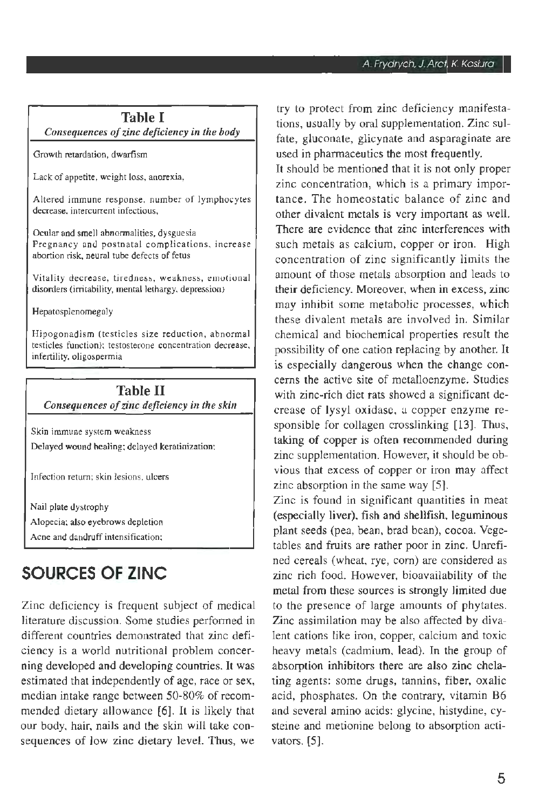#### **Table I**  *Consequences of zinc deficiency in the body*

Growth retardation, dwarfism

Lack of appetite, weight loss, anorexia,

Altered immune response, number of lymphocytes decrease, intercurrent infectious,

Ocular and smell abnormalities, dysguesia Pregnancy and postnatal complications, increase abortion risk, neural tube defects of fetus

Vitality decrease, tiredness, weakness, emutional disorders (irritability, mental lethargy, depression)

Hepatosplenomegaly

Hipogonadism (testicles size reduction, abnormal testicles function); testosterone concentration decrease. infertility, oligospermia

#### **Table** II *Consequences of zinc deficiency in the skin*

Skin immune system weakness Delayed wound healing; delayed keratinization;

Infection return; skin lesions, ulcers

Nail plate dystrophy Alopecia; also eyebrows depletion Acne and dandruff intensification;

## **SOURCES OF ZINC**

Zinc deficiency is frequent subject of medical literature discussion. Some studies perfonned in different countries demonstrated that zinc deficiency is a world nutritional problem concerning developed and developing countries. lt was estimated that independently of age, race or sex, median intake range between 50-80% of recommended dietary allowance (6). It is likely that our body, hair, nails and the skin will take consequences of low zinc dietary leve!. Thus, we try to protect from zinc deficiency manifestations, usually by ora! supplementation. Zinc sulfate, gluconate, glicynate and asparaginate are used in pharmaceutics the most frequently.

It should be mentioned that it is not only proper zinc concentration, which is a primary importance. The homeostatic balance of zinc and other divalent metals is very important as well. There are evidence that zinc interferences with such metals as calcium, copper or iron. High concentration of zinc significantly limits the amount of those metals absorption and leads to their deficiency. Moreover, when in excess, zinc may inhibit some metabolic processes, which these divalent metals are involved in. Similar chemical and biochemical properties result the possibility of one cation replacing by another. It is especially dangerous when the change concems the active site of metalloenzyme. Studies with zinc-rich diet rats showed a significant decrease of lysyl oxidase, a copper enzyme responsible for collagen crosslinking (13). Thus, taking of copper is often recommended during zinc supplementation. However, it should be obvious that excess of copper or iron may affect zinc absorption in the same way [5].

Zinc is found in significant quantities in meat (especially liver), fish and shellfish, leguminous plant seeds (pea, bean, brad bean), cocoa. Vegetables and fruits are rather poor in zinc. Unrefined cereals (wheat, rye, com) are considered as zinc rich food. However, bioavailability of the metal from these sources is strongly limited due to the presence of large amounts of phytates. Zinc assimilation may be also affected by divalent cations like iron, copper, calcium and toxic heavy metals (cadmium, lead). In the group of absorption inhibitors there are also zinc chelating agents: some drugs, tannins, fiber, oxalic acid, phosphates. On the contrary, vitamin B6 and several amino acids: glycine, histydine, cysteine and metionine belong to absorption activators. (5).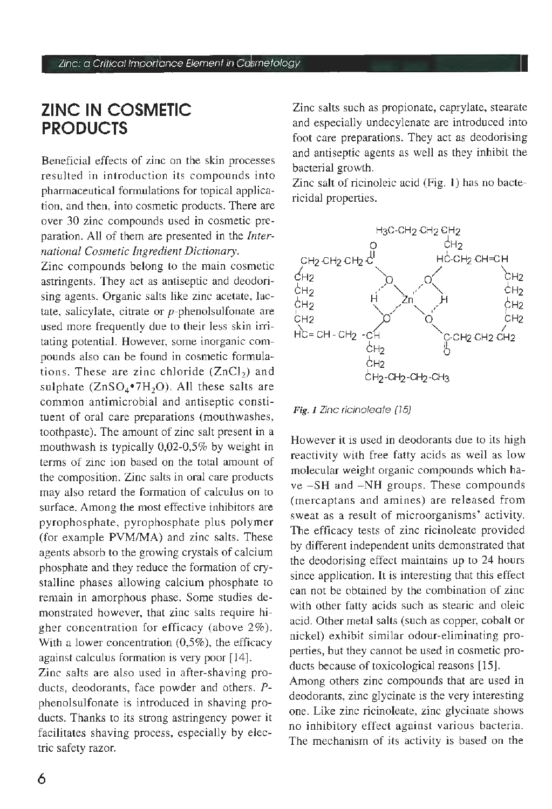## **ZINC IN COSMETIC PRODUCTS**

Beneficiai effects of zinc on the skin processes resulted in introduction its compounds into pharmaceutical formulations for topical application, and then, into cosmetic products. There are over 30 zinc compounds used in cosmetic preparation. Ali of them are presented in the *International Cosmetic lngredient Dictionary.* 

Zinc compounds belong to the main cosmetic astringents. They act as antiseptic and deodorising agents. Organic salts like zinc acetate, Jactate, salicylate, citrate or  $p$ -phenolsulfonate are used more frequently due to their less skin irritating potential. However, some inorganic compounds also can be found in cosmetic formulations. These are zinc chloride  $(ZnCl<sub>2</sub>)$  and sulphate  $(ZnSO_4^{\bullet}7H_2O)$ . All these salts are common antimicrobial and antiseptic constituent of oral care preparations (mouthwashes, toothpaste). The amount of zinc salt present in a mouthwash is typically 0,02-0,5% by weight in terms of zinc ion based on the total amount of the composition. Zinc salts in oral care products may also retard the formation of calculus on to surface. Among the most effective inhibitors are pyrophosphate, pyrophosphate plus polymer (for example PVM/MA) and zinc salts. These agents absorb to the growing crystals of calcium phosphate and they reduce the formation of crystalline phases allowing calcium phosphate to remain in amorphous phase. Some studies demonstrated however, that zinc salts require higher concentration for efficacy (above 2%). With a lower concentration (0,5%), the efficacy against calculus formation is very poor [ 14].

Zinc salts are also used in after-shaving products, deodorants, foce powder and others. *P*phenolsulfonate is introduced in shaving products. Thanks to its strong astringency power it facilitates shaving process, especially by electric safety razor.

Zinc salts such as propionate, caprylate, stearate and especially undecylenate are introduced into foot care preparations. They act as deodorising and antiseptic agents as well as they inhibit the bacterial growth.

Zinc salt of ricinoleic acid (Fig. I) has no bactericidal properties.



Fig. 1 Zinc ricinoleate (15)

However it is used in deodorants due to its high reactivity with free fatty acids as well as Iow molecular weight organic compounds which have -SH and -NH groups. These compounds (mercaptans and amines) are released from sweat as a result of microorganisms' activity. The efficacy tests of zinc ricinoleate provided by different independent units demonstrated that the deodorising effect maintains up to 24 hours since application. It is interesting that this effect can not be obtained by the combination of zinc with other fatty acids such as stearic and oleic acid. Other metal salts (such as copper, cobalt or nickel) exhibit similar odour-eliminating properties, but they cannot be used in cosmetic products because of toxicological reasons [15].

Among others zinc compounds that are used in deodorants, zinc glycinate is the very interesting one. Like zinc ricinoleate, zinc glycinate shows no inhibitory effect against various bacteria. The mechanism of its activity is based on the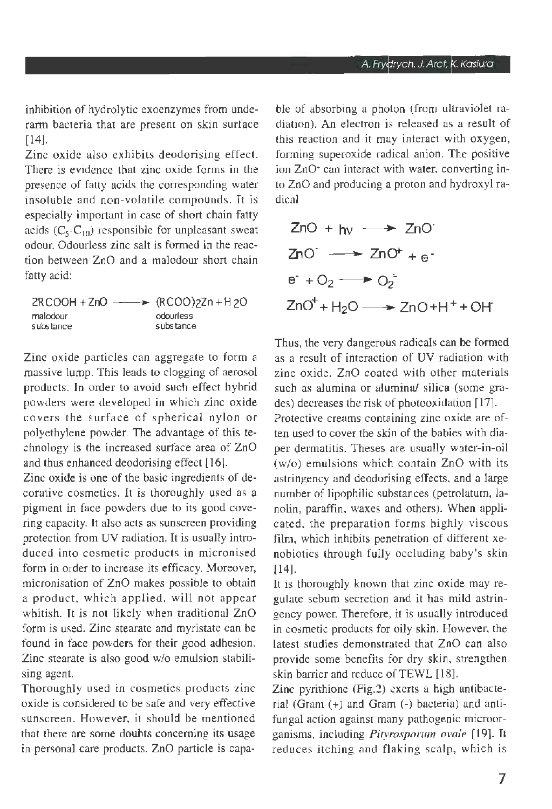inhibition of hydrolytic exoenzymes from underarm bacteria that are present on skin surface [14].

Zinc oxide aiso exhibits deodorising effect. There is evidence that zinc oxide forms in the presence of fatty acids the corresponding water in soluble and non-volatile compounds. It is especially important in case of short chain fatty acids  $(C_5-C_{10})$  responsible for unpleasant sweat odour. Odourless zinc salt is formed in the reaction between ZnO and a malodour short chain fatty acid:

 $2RCOOH + ZnO \longrightarrow (RCOO)2Zn + H2O$ malodour substance odourless subs tance

Zinc oxide particles can aggregate to form a massive lump. This leads to clogging of aerosol products. In order to avoid such effect hybrid powders were developed in which zinc oxide covers the surface of spherical nylon or polyethylene powder. The advantage of this technology is the increased surface area of ZnO and thus enhanced deodorising effect [ 16].

Zinc oxide is one of the basic ingredients of decorative cosmetics. It is thoroughly used as a pigment in face powders due to its good covering capacity. It also acts as sunscreen providing protection from UV radiation. It is usually introduced into cosmetic products in micronised form in order to increase its efficacy. Moreover, micronisation of ZnO makes possible to obtain a product, which applied, will not appear whitish. It is not likely when traditional ZnO form is used. Zinc stearate and myristate can be found in face powders for their good adhesion. Zinc stearate is also good w/o emulsion stabilising agent.

Thoroughly used in cosmetics products zinc oxide is considered to be safe and very effective sunscreen. However, it should be mentioned that there are some doubts concerning its usage in personal care products. ZnO particle is capable of absorbing a photon (from ultraviolet radiation). An electron is released as a result of this reaction and it may interact with oxygen, forming superoxide radical anion. The positive ion ZnO<sup>+</sup> can interact with water, converting into ZnO and producing a proton and hydroxyl radical

$$
ZnO + hv \longrightarrow ZnO'
$$
  
\n
$$
ZnO' \longrightarrow ZnO' + e
$$
  
\ne<sup>-</sup> + O<sub>2</sub>  $\longrightarrow$  O<sub>2</sub><sup>-</sup>  
\n
$$
ZnO' + H2O \longrightarrow ZnO + H+ + OH
$$

Thus, the very dangerous radicals can be formed as a result of interaction of UV radiation with zinc oxide. ZnO coated with other materials such as alumina or alumina/ silica (some grades) decreases the risk of photooxidation [17].

Protective creams containing zinc oxide are often used to cover the skin of the babies with diaper dermatitis. Theses are usually water-in-oil (w/o) emulsions which contain ZnO with its astringency and deodorising effects, and a large number of lipophilic substances (petrolatum, lanolin, paraffin, waxes and others). When applicated, the preparation forms highly viscous film, which inhibits penetration of different xenobiotics through fully occluding baby's skin [14].

lt is thoroughly known that zinc oxide may regulate sebum secretion and it has mild astringency power. Therefore, it is usually introduced in cosmetic products for oily skin. However, the latest studies demonstrated that ZnO can also provide some benefits for dry skin, strengthen skin barrier and reduce of TEWL [18].

Zinc pyrithione (Fig.2) exerts a high antibacterial (Gram  $(+)$  and Gram  $(-)$  bacteria) and antifungal action against many pathogenic microorganisms, including *Pityrosporum ovale* [ 19]. lt reduces itching and flaking scalp, which is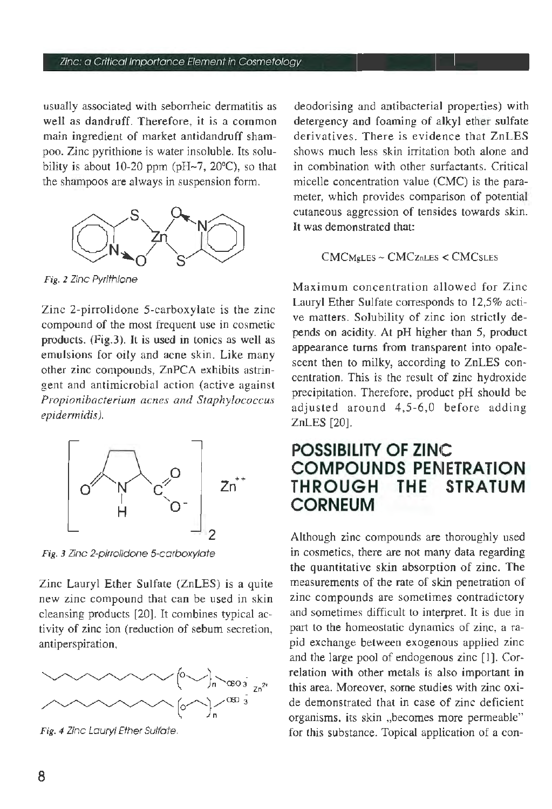#### Zinc: a Critical Importance Element in Cosmetology

usually associated with seborrheic dermatitis as well as dandruff. Therefore, it is a common main ingredient of market antidandruff shampoo. Zinc pyrithione is water insoluble. Its solubility is about 10-20 ppm ( $pH-7$ , 20 $°C$ ), so that the shampoos are always in suspension forrn.



Fig. 2 Zinc Pyr/thione

Zinc 2-pirrolidone 5-carboxylate is the zinc compound of the most frequent use in cosmetic products. (Fig.3). It is used in tonics as well as emulsions for oily and acne skin. Like many other zinc compounds, ZnPCA exhibits astringent and antimicrobial action (active against *Propionibacterium acnes and Staphylococcus epidermidis).* 



Fig. 3 Zinc 2-pirrolidone 5-carboxylate

Zinc Lauryl Ether Sulfate (ZnLES) is a quite new zinc compound that can be used in skin cleansing products [20]. It combines typical activity of zinc ion (reduction of sebum secretion, antiperspiration,



Fig. 4 Zinc Lauryl Ether Sulfate.

deodorising and antibacterial properties) with detergency and foaming of aJkyl ether suJfate derivatives. There is evidence that ZnLES shows much less skin irritation both alone and in combination with other surfactants. Criticai micelle concentration value (CMC) is the parameter, which provides comparison of potential cutaneous aggression of tensides towards skin. It was demonstrated that:

CMCMgLES- CMCznLES < CMCsLES

Maximum concentration allowed for Zinc Lauryl Ether Sulfate corresponds to 12,5% active matters. SoJubility of zinc ion strictly depends on acidity. At pH higher than 5, product appearance turns from transparent into opalescent then to milky, according to ZnLES concentration. This is the result of zinc hydroxide precipitation. Therefore, product pH should be adjusted around  $4,5-6,0$  before adding ZnLES [20].

### **POSSIBILITY OF ZINC COMPOUNDS PENETRATION THE STRATUM CORNEUM**

Although zinc compounds are thoroughly used in cosmetics, there are not many data regarding the quantitative skin absorption of zinc. The measurements of the rate of skin penetration of zinc compounds are sornetimes contradictory and sometimes difficult to interpret. It is due in part to the homeostatic dynamics of zinc, a rapid exchange between exogenous applied zinc and the large pool of endogenous zinc [l]. Correlation with other metals is also important in this area. Moreover, some studies with zinc oxide demonstrated that in case of zinc deficient organisms, its skin ,,becomes more permeable" for this substance. Topical application of a con-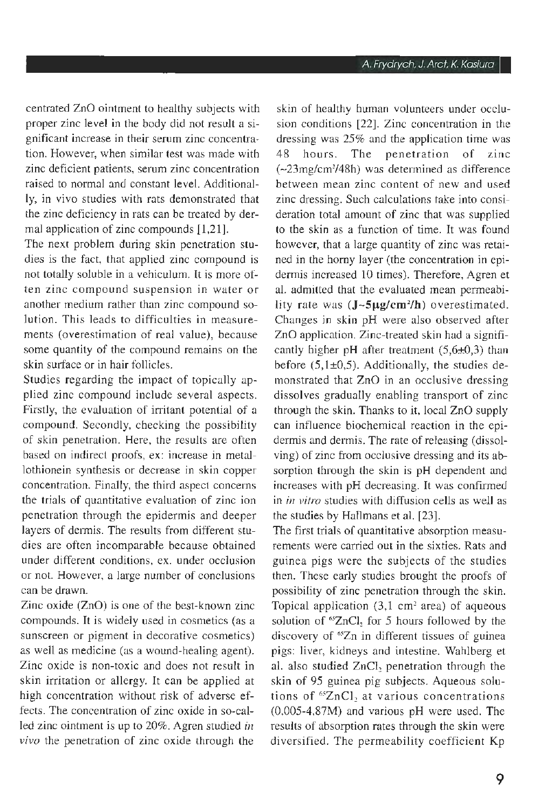centrated ZnO ointment to healthy subjects with proper zinc level in the body did not result a significant increase in their serum zinc concentration. However, when similar test was made with zinc deficient patients, serum zinc concentration raised to normai and constant leve!. Additionally, in vivo studies with rats demonstrated that the zinc deficiency in rats can be treated by dermal application of zinc compounds [1,21].

The next problem during skin penetration studies is the fact, that applied zinc compound is not totally soluble in a vehiculum. It is more often zinc compound suspension in water or another medium rather than zinc compound solution. This leads to difficulties in measurements (overestimation of real value), because some quantity of the compound remains on the skin surface or in hair follicles.

Studies regarding the impact of topically applied zinc compound include several aspects. Firstly, the evaluation of irritant potential of a compound. Secondly, checking the possibility of skin penetration. Here, the results are often based on indirect proofs, ex: increase in metallothionein synthesis or decrease in skin copper concentration. Finally, the third aspect concerns the trials of quantitative evaluation of zinc ion penetration through the epidermis and deeper layers of dermis. The results from different studies are often incomparable because obtained under different conditions, ex. under occlusion or not. However, a large number of conclusions can be drawn.

Zinc oxide (ZnO) is one of the best-known zinc compounds. lt is widely used in cosmetics (as a sunscreen or pigment in decorative cosmetics) as well as medicine (as a wound-healing agent). Zinc oxide is non-toxic and does not result in skin irritation or allergy. It can be applied at high concentration without risk of adverse effects. The concentration of zinc oxide in so-called zinc ointment is up to 20%. Agren studied *in vivo* the penetration of zinc oxide through the

skin of healthy human volunteers under occlusion conditions [22]. Zinc concentration in the dressing was 25% and the application time was 48 hours. The penetration of zinc (-23mg/cm2 /48h) was detennined as difference between mean zinc content of new and used zinc dressing. Such calculations take into consideration total amount of zinc that was supplied to the skin as a function of time. lt was found however, that a large quantity of zinc was retained in the homy layer (the concentration in epidermis increased 10 times). Therefore, Agren et al. admitted that the evaluated mean permeability rate was (J~5µg/cm<sup>2</sup>/h) overestimated. Changes in skin pH were also observed after ZnO application. Zinc-treated skin had a significantly higher pH after treatment  $(5,6\pm0,3)$  than before  $(5,1\pm0,5)$ . Additionally, the studies demonstrated that ZnO in an occlusive dressing dissolves gradually enabling transport of zinc through the skin. Thanks to it, locai ZnO supply can influence biochemical reaction in the epidermis and dermis. The rate of releasing (dissolving) of zinc from occlusive dressing and its absorption through the skin is pH dependent and increases with pH decreasing. lt was confirmed in *in vitro* studies with diffusion cells as well as the studies by Hallmans et al. [23].

The first trials of quantitative absorption measurements were carried out in the sixties. Rats and guinea pigs were the subjects of the studies then. These early studies brought the proofs of possibility of zinc penetration through the skin. Topical application  $(3, 1 \text{ cm}^2 \text{ area})$  of aqueous solution of  $^{65}ZnCl$ , for 5 hours followed by the discovery of <sup>65</sup>Zn in different tissues of guinea pigs: liver, kidneys and intestine. Wahlberg et al. also studied ZnCl<sub>2</sub> penetration through the skin of 95 guinea pig subjects. Aqueous solutions of <sup>65</sup>ZnCl, at various concentrations (0,005-4,87M) and various pH were used. The results of absorption rates through the skin were diversified. The permeability coefficient Kp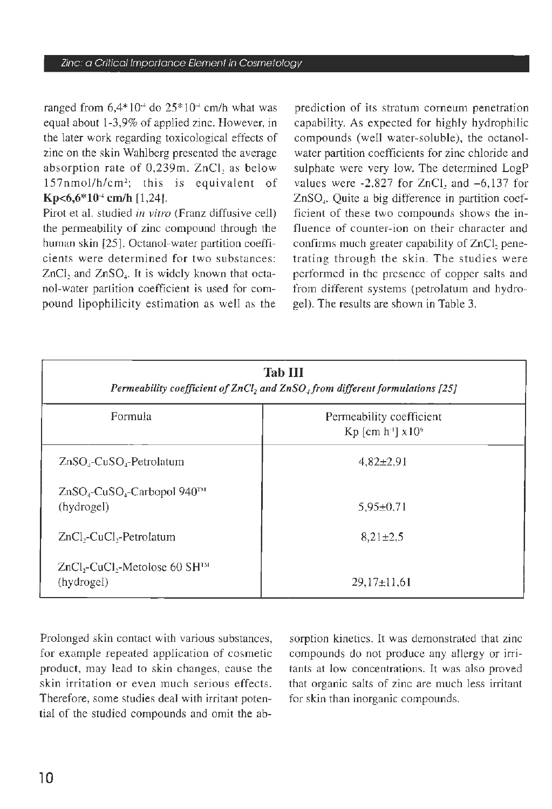ranged from  $6,4*10^+$  do  $25*10^+$  cm/h what was equal about 1-3,9% of applied zinc. However, in the later work regarding toxicological effects of zinc on the skin Wahlberg presented the average absorption rate of 0,239m. ZnCI, as below 157nmol/h/cm<sup>2</sup>; this is equivalent of **Kp<6,6\*10<sup>-4</sup> cm/h [1,24].** 

Pirot et al. studied *in vitro* (Franz diffusive celi) the permeability of zinc compound through the human skin [25]. Octanol-water partition coefficients were determined for two substances: ZnCl, and ZnSO<sub>4</sub>. It is widely known that octanol-water partition coefficient is used for compound lipophilicity estimation as well as the

prediction of its stratum corneum penetration capability. As expected for highly hydrophilic compounds (well water-soluble), the octanolwater partition coefficients for zinc chloride and sulphate were very low. The determined LogP values were  $-2,827$  for ZnCl, and  $-6,137$  for ZnSO,. Quite a big difference in partition coefficient of these two compounds shows the influence of counter-ion on their character and confirms much greater capability of ZnCl, penetrating through the skin. The studies were performed in the presence of copper salts and from different systems (petrolatum and hydrogel). The results are shown in Table 3.

| <b>Tab III</b><br>Permeability coefficient of $ZnCl2$ and $ZnSO4$ from different formulations [25] |                                                                      |
|----------------------------------------------------------------------------------------------------|----------------------------------------------------------------------|
| Formula                                                                                            | Permeability coefficient<br>$Kp$ [cm h <sup>-1</sup> ] $\times 10^6$ |
| $ZnSO4-CuSO4-Petrolatum$                                                                           | $4,82\pm2,91$                                                        |
| ZnSO <sub>4</sub> -CuSO <sub>4</sub> -Carbopol 940™<br>(hydrogel)                                  | $5.95 \pm 0.71$                                                      |
| ZnCl,-CuCl,-Petrolatum                                                                             | $8,21\pm2,5$                                                         |
| $ZnCl2-CuCl2-Metolose 60 SHTM$<br>(hydrogel)                                                       | $29,17\pm11,61$                                                      |

Prolonged skin contact with various substances, for example repeated application of cosmetic product, may lead to skin changes, cause the skin irritation or even much serious effects. Therefore, some studies deal with irritant potential of the studied compounds and omit the absorption kinetics. It was demonstrated that zinc compounds do not produce any allergy or irritants at low concentrations. It was also proved that organic salts of zinc are much less irritant for skin than inorganic compounds.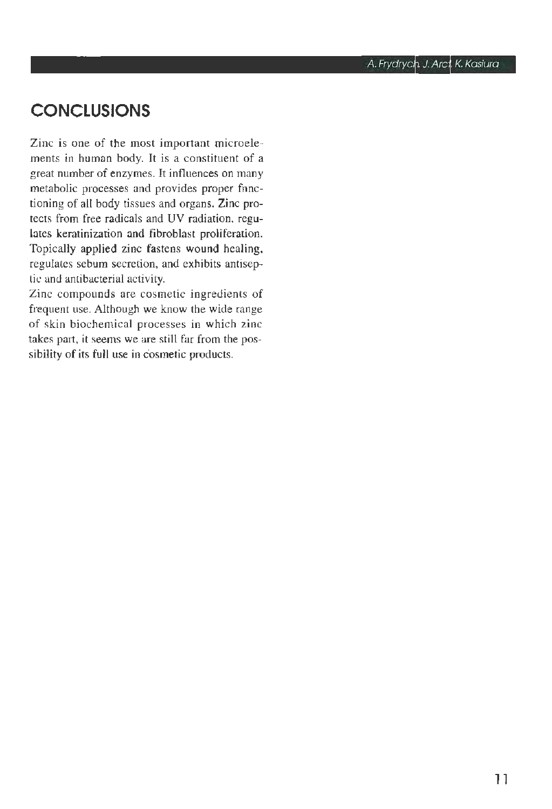## **CONCLUSIONS**

Zinc is one of the most important microelements in human body. It is a constituent of a great number of enzymes. lt influences on many metabolic processes and provides proper fnnctioning of all body tissues and organs. Zinc protects from free radicals and UV radiation, regulates keratinization and fibroblast proliferation. Topically applied zinc fastens wound healing, regulates sebum secretion, and exhibits antiseptic and antibacterial activity.

Zinc compounds are cosmetic ingredients of frequent use. Although we know the wide range of skin biochemical processes in which zinc takes part, it seems we are stili far from the possibility of its full use in cosmetic products.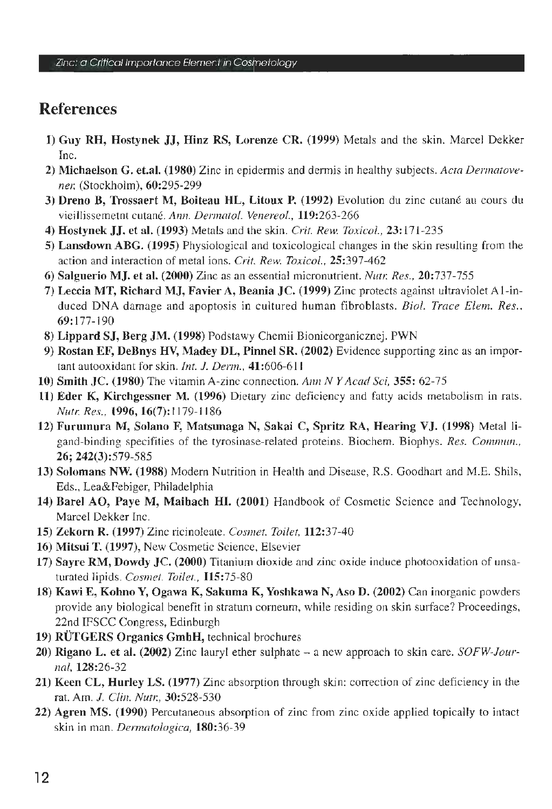## References

- I) Guy RH, Hostynek JJ, Hinz RS, Lorenze CR. (1999) Metals and the skin. Marce] Dekker Inc.
- 2) Michaelson G. et.al. (1980) Zinc in epidermis and dermis in healthy subjects. *Acta Dennatovener,* (Stockholm), 60:295-299
- 3) Dreno B, Trossaert M, Boiteau HL, Litoux P. (1992) Evolution du zinc cutané au cours du vieillissemetnt cutané. *Ann. Dermatol. Venereo!.,* 119:263-266
- 4) Hostynek JJ. et al. (1993) Metals and the skin. *Crit. Rew. Toxicol.,* 23: l 7 l-235
- 5) Lansdown ABG. (1995) Physiological and toxicological changes in the skin resulting from the action and interaction of metal ions. *Crit. Rew. Toxicol.,* 25:397-462
- 6) Salguerio MJ. et al. (2000) Zinc as an essential micronutrient. *Nut1: Res.,* 20:737-755
- 7) Leccia MT, Richard MJ, Favier A, Beania JC. (1999) Zinc protects against ultraviolet A l-induced DNA damage and apoptosis in cultured human fibroblasts. *Biol. Trace Elem. Res.,*  69:177-190
- 8) Lippard SJ, Berg JM. (1998) Podstawy Chemii Bionieorganicznej. PWN
- 9) Rostan EF, DeBnys HV, Madey DL, Pinnel SR. (2002) Evidence supporting zinc as an important autooxidant for skin. *lnt. J. Derm.,* 41:606-611
- 10) Smith JC. (1980) The vitamin A-zinc connection. *Ann N Y Acad Sci,* 355: 62-75
- 11) Eder K, Kirchgessner M. (1996) Dietary zinc deficiency and fatty acids metabolism in rats. *Nutt: Res.,* 1996, 16(7): 1179-1186
- 12) Furumura M, Solano F, Matsunaga N, Sakai C, Spritz RA, Hearing VJ. (1998) Metal ligand-binding specifities of the tyrosinase-related proteins. Biochem. Biophys. *Res. Commun.,*  26; 242(3):579-585
- 13) Solomans NW. (1988) Modem Nutrition in Health and Disease, R.S. Goodhart and M.E. Shils, Eds., Lea&Febiger, Philadelphia
- 14) Barel AO, Paye M, Maihach Hl. (2001) Handbook of Cosmetic Science and Technology. Marcel Dekker Inc.
- 15) Zekorn R. (1997) Zinc ricinoleate. *Cosmet. Toilet,* 112:37-40
- 16) Mitsui T. (1997), New Cosmetic Science, Elsevier
- 17) Sayre RM, Dowdy JC. (2000) Titanium dioxide and zinc oxide induce photooxidation of unsaturated lipids. *Cosmet. Toilet.,* 115:75-80
- 18) Kawi E, Kohno Y, Ogawa K, Sakuma K, Yoshkawa N, Aso D. (2002) Can inorganic powders provide any biologica! benefit in stratum comeum, while residing on skin surface? Proceedings, 22nd IFSCC Congress, Edinburgh
- 19) RUTGERS Organics GmbH, technical brochures
- 20) Rigano L. et al. (2002) Zinc lauryl ether sulphate a new approach to skin care. *SOFW-Journal,* 128:26-32
- 21) Keen CL, Hurley LS. (1977) Zinc absorption through skin: correction of zinc deficiency in the rat. Am. *J. Clin. Nutr.*, 30:528-530
- 22) Agren MS. (1990) Percutaneous absorption of zinc from zinc oxide applied topically to intact skin in man. *Dermatologica,* 180:36-39